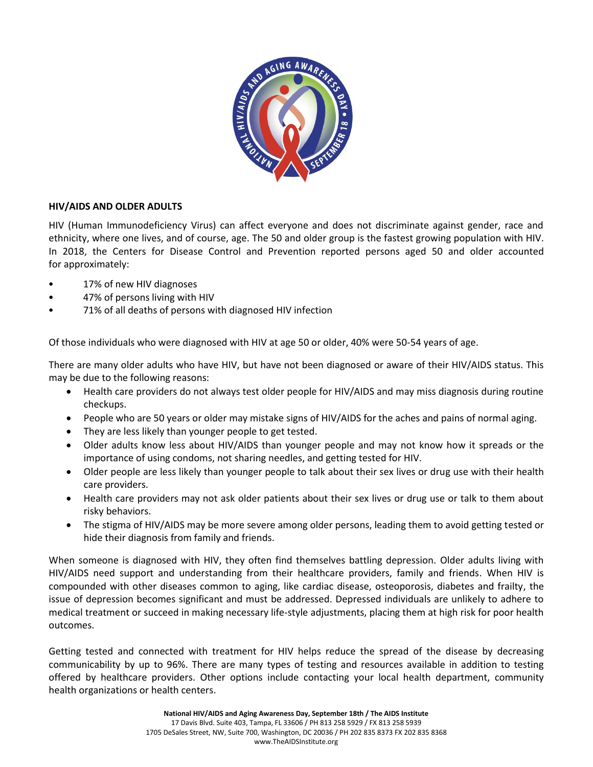

### **HIV/AIDS AND OLDER ADULTS**

HIV (Human Immunodeficiency Virus) can affect everyone and does not discriminate against gender, race and ethnicity, where one lives, and of course, age. The 50 and older group is the fastest growing population with HIV. In 2018, the Centers for Disease Control and Prevention reported persons aged 50 and older accounted for approximately:

- 17% of new HIV diagnoses
- 47% of persons living with HIV
- 71% of all deaths of persons with diagnosed HIV infection

Of those individuals who were diagnosed with HIV at age 50 or older, 40% were 50-54 years of age.

There are many older adults who have HIV, but have not been diagnosed or aware of their HIV/AIDS status. This may be due to the following reasons:

- Health care providers do not always test older people for HIV/AIDS and may miss diagnosis during routine checkups.
- People who are 50 years or older may mistake signs of HIV/AIDS for the aches and pains of normal aging.
- They are less likely than younger people to get tested.
- Older adults know less about HIV/AIDS than younger people and may not know how it spreads or the importance of using condoms, not sharing needles, and getting tested for HIV.
- Older people are less likely than younger people to talk about their sex lives or drug use with their health care providers.
- Health care providers may not ask older patients about their sex lives or drug use or talk to them about risky behaviors.
- The stigma of HIV/AIDS may be more severe among older persons, leading them to avoid getting tested or hide their diagnosis from family and friends.

When someone is diagnosed with HIV, they often find themselves battling depression. Older adults living with HIV/AIDS need support and understanding from their healthcare providers, family and friends. When HIV is compounded with other diseases common to aging, like cardiac disease, osteoporosis, diabetes and frailty, the issue of depression becomes significant and must be addressed. Depressed individuals are unlikely to adhere to medical treatment or succeed in making necessary life-style adjustments, placing them at high risk for poor health outcomes.

Getting tested and connected with treatment for HIV helps reduce the spread of the disease by decreasing communicability by up to 96%. There are many types of testing and resources available in addition to testing offered by healthcare providers. Other options include contacting your local health department, community health organizations or health centers.